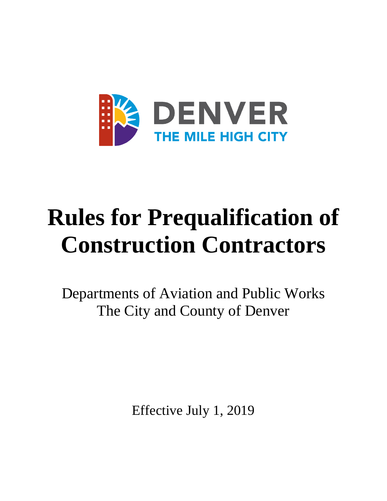

# **Rules for Prequalification of Construction Contractors**

Departments of Aviation and Public Works The City and County of Denver

Effective July 1, 2019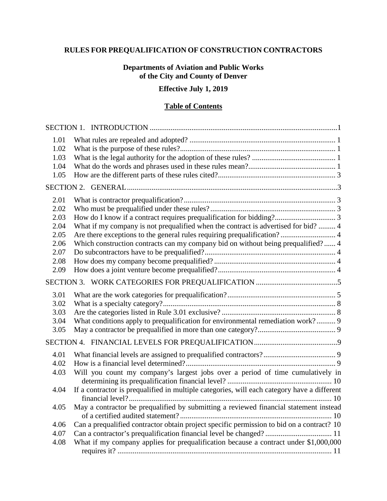# **RULES FOR PREQUALIFICATION OF CONSTRUCTION CONTRACTORS**

## **Departments of Aviation and Public Works of the City and County of Denver**

# **Effective July 1, 2019**

# **Table of Contents**

| 1.01<br>1.02<br>1.03<br>1.04<br>1.05                                 |                                                                                                                                                                                                                                                                                                                           |
|----------------------------------------------------------------------|---------------------------------------------------------------------------------------------------------------------------------------------------------------------------------------------------------------------------------------------------------------------------------------------------------------------------|
|                                                                      |                                                                                                                                                                                                                                                                                                                           |
| 2.01<br>2.02<br>2.03<br>2.04<br>2.05<br>2.06<br>2.07<br>2.08<br>2.09 | How do I know if a contract requires prequalification for bidding? 3<br>What if my company is not prequalified when the contract is advertised for bid?  4<br>Are there exceptions to the general rules requiring prequalification? 4<br>Which construction contracts can my company bid on without being prequalified? 4 |
|                                                                      |                                                                                                                                                                                                                                                                                                                           |
| 3.01<br>3.02<br>3.03<br>3.04<br>3.05                                 | What conditions apply to prequalification for environmental remediation work? 9                                                                                                                                                                                                                                           |
|                                                                      |                                                                                                                                                                                                                                                                                                                           |
| 4.01<br>4.02<br>4.03<br>4.04                                         | Will you count my company's largest jobs over a period of time cumulatively in<br>If a contractor is prequalified in multiple categories, will each category have a different                                                                                                                                             |
| 4.05                                                                 | May a contractor be prequalified by submitting a reviewed financial statement instead                                                                                                                                                                                                                                     |
| 4.06<br>4.07<br>4.08                                                 | Can a prequalified contractor obtain project specific permission to bid on a contract? 10<br>Can a contractor's prequalification financial level be changed?  11<br>What if my company applies for prequalification because a contract under \$1,000,000                                                                  |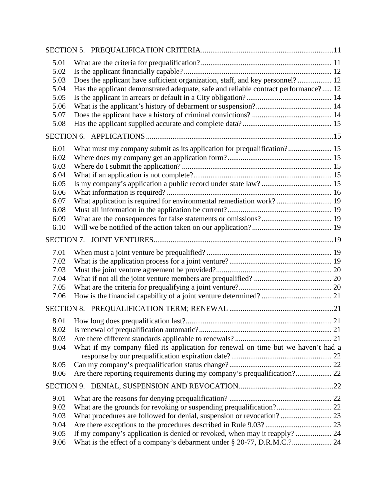| 5.01<br>5.02<br>5.03<br>5.04<br>5.05<br>5.06<br>5.07<br>5.08                 | Does the applicant have sufficient organization, staff, and key personnel? 12<br>Has the applicant demonstrated adequate, safe and reliable contract performance? 12                                                                                                                                   |  |
|------------------------------------------------------------------------------|--------------------------------------------------------------------------------------------------------------------------------------------------------------------------------------------------------------------------------------------------------------------------------------------------------|--|
|                                                                              |                                                                                                                                                                                                                                                                                                        |  |
| 6.01<br>6.02<br>6.03<br>6.04<br>6.05<br>6.06<br>6.07<br>6.08<br>6.09<br>6.10 | What must my company submit as its application for prequalification? 15<br>What application is required for environmental remediation work? 19                                                                                                                                                         |  |
|                                                                              |                                                                                                                                                                                                                                                                                                        |  |
| 7.01<br>7.02<br>7.03<br>7.04<br>7.05<br>7.06                                 |                                                                                                                                                                                                                                                                                                        |  |
|                                                                              |                                                                                                                                                                                                                                                                                                        |  |
| 8.01<br>8.02<br>8.03<br>8.04<br>8.05                                         | What if my company filed its application for renewal on time but we haven't had a                                                                                                                                                                                                                      |  |
| 8.06                                                                         | Are there reporting requirements during my company's prequalification? 22                                                                                                                                                                                                                              |  |
|                                                                              |                                                                                                                                                                                                                                                                                                        |  |
| 9.01<br>9.02<br>9.03<br>9.04<br>9.05<br>9.06                                 | What are the grounds for revoking or suspending prequalification? 22<br>What procedures are followed for denial, suspension or revocation? 23<br>If my company's application is denied or revoked, when may it reapply?  24<br>What is the effect of a company's debarment under § 20-77, D.R.M.C.? 24 |  |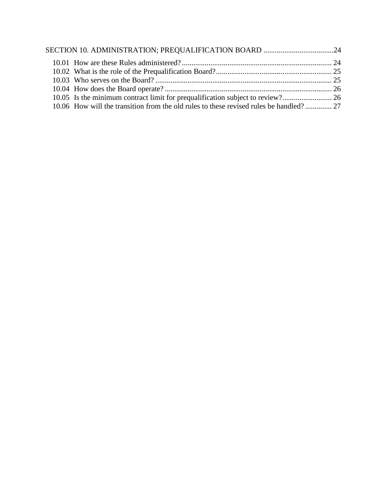| 10.06 How will the transition from the old rules to these revised rules be handled? 27 |  |
|----------------------------------------------------------------------------------------|--|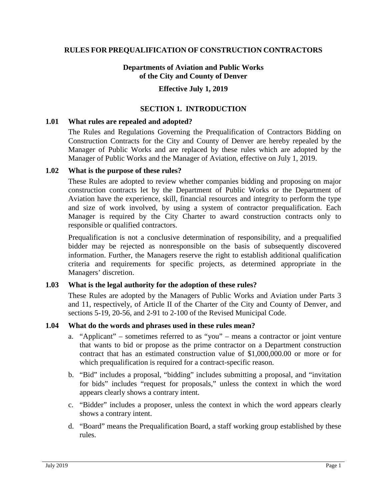#### **RULES FOR PREQUALIFICATION OF CONSTRUCTION CONTRACTORS**

#### **Departments of Aviation and Public Works of the City and County of Denver**

#### **Effective July 1, 2019**

#### **SECTION 1. INTRODUCTION**

#### <span id="page-4-1"></span><span id="page-4-0"></span>**1.01 What rules are repealed and adopted?**

The Rules and Regulations Governing the Prequalification of Contractors Bidding on Construction Contracts for the City and County of Denver are hereby repealed by the Manager of Public Works and are replaced by these rules which are adopted by the Manager of Public Works and the Manager of Aviation, effective on July 1, 2019.

#### <span id="page-4-2"></span>**1.02 What is the purpose of these rules?**

These Rules are adopted to review whether companies bidding and proposing on major construction contracts let by the Department of Public Works or the Department of Aviation have the experience, skill, financial resources and integrity to perform the type and size of work involved, by using a system of contractor prequalification. Each Manager is required by the City Charter to award construction contracts only to responsible or qualified contractors.

Prequalification is not a conclusive determination of responsibility, and a prequalified bidder may be rejected as nonresponsible on the basis of subsequently discovered information. Further, the Managers reserve the right to establish additional qualification criteria and requirements for specific projects, as determined appropriate in the Managers' discretion.

#### <span id="page-4-3"></span>**1.03 What is the legal authority for the adoption of these rules?**

These Rules are adopted by the Managers of Public Works and Aviation under Parts 3 and 11, respectively, of Article II of the Charter of the City and County of Denver, and sections 5-19, 20-56, and 2-91 to 2-100 of the Revised Municipal Code.

#### <span id="page-4-4"></span>**1.04 What do the words and phrases used in these rules mean?**

- a. "Applicant" sometimes referred to as "you" means a contractor or joint venture that wants to bid or propose as the prime contractor on a Department construction contract that has an estimated construction value of \$1,000,000.00 or more or for which prequalification is required for a contract-specific reason.
- b. "Bid" includes a proposal, "bidding" includes submitting a proposal, and "invitation for bids" includes "request for proposals," unless the context in which the word appears clearly shows a contrary intent.
- c. "Bidder" includes a proposer, unless the context in which the word appears clearly shows a contrary intent.
- d. "Board" means the Prequalification Board, a staff working group established by these rules.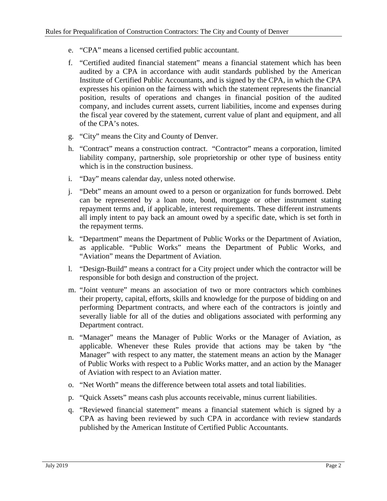- e. "CPA" means a licensed certified public accountant.
- f. "Certified audited financial statement" means a financial statement which has been audited by a CPA in accordance with audit standards published by the American Institute of Certified Public Accountants, and is signed by the CPA, in which the CPA expresses his opinion on the fairness with which the statement represents the financial position, results of operations and changes in financial position of the audited company, and includes current assets, current liabilities, income and expenses during the fiscal year covered by the statement, current value of plant and equipment, and all of the CPA's notes.
- g. "City" means the City and County of Denver.
- h. "Contract" means a construction contract. "Contractor" means a corporation, limited liability company, partnership, sole proprietorship or other type of business entity which is in the construction business.
- i. "Day" means calendar day, unless noted otherwise.
- j. "Debt" means an amount owed to a person or organization for funds borrowed. Debt can be represented by a loan note, bond, mortgage or other instrument stating repayment terms and, if applicable, interest requirements. These different instruments all imply intent to pay back an amount owed by a specific date, which is set forth in the repayment terms.
- k. "Department" means the Department of Public Works or the Department of Aviation, as applicable. "Public Works" means the Department of Public Works, and "Aviation" means the Department of Aviation.
- l. "Design-Build" means a contract for a City project under which the contractor will be responsible for both design and construction of the project.
- m. "Joint venture" means an association of two or more contractors which combines their property, capital, efforts, skills and knowledge for the purpose of bidding on and performing Department contracts, and where each of the contractors is jointly and severally liable for all of the duties and obligations associated with performing any Department contract.
- n. "Manager" means the Manager of Public Works or the Manager of Aviation, as applicable. Whenever these Rules provide that actions may be taken by "the Manager" with respect to any matter, the statement means an action by the Manager of Public Works with respect to a Public Works matter, and an action by the Manager of Aviation with respect to an Aviation matter.
- o. "Net Worth" means the difference between total assets and total liabilities.
- p. "Quick Assets" means cash plus accounts receivable, minus current liabilities.
- q. "Reviewed financial statement" means a financial statement which is signed by a CPA as having been reviewed by such CPA in accordance with review standards published by the American Institute of Certified Public Accountants.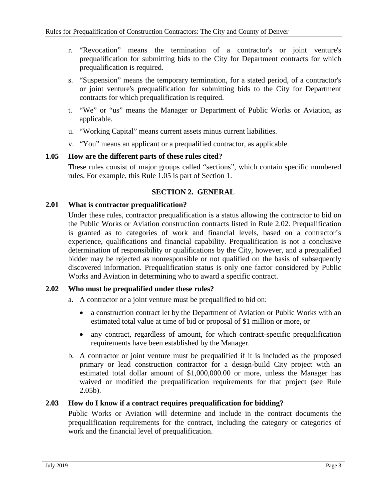- r. "Revocation" means the termination of a contractor's or joint venture's prequalification for submitting bids to the City for Department contracts for which prequalification is required.
- s. "Suspension" means the temporary termination, for a stated period, of a contractor's or joint venture's prequalification for submitting bids to the City for Department contracts for which prequalification is required.
- t. "We" or "us" means the Manager or Department of Public Works or Aviation, as applicable.
- u. "Working Capital" means current assets minus current liabilities.
- v. "You" means an applicant or a prequalified contractor, as applicable.

## <span id="page-6-0"></span>**1.05 How are the different parts of these rules cited?**

These rules consist of major groups called "sections", which contain specific numbered rules. For example, this Rule 1.05 is part of Section 1.

# **SECTION 2. GENERAL**

## <span id="page-6-2"></span><span id="page-6-1"></span>**2.01 What is contractor prequalification?**

Under these rules, contractor prequalification is a status allowing the contractor to bid on the Public Works or Aviation construction contracts listed in Rule 2.02. Prequalification is granted as to categories of work and financial levels, based on a contractor's experience, qualifications and financial capability. Prequalification is not a conclusive determination of responsibility or qualifications by the City, however, and a prequalified bidder may be rejected as nonresponsible or not qualified on the basis of subsequently discovered information. Prequalification status is only one factor considered by Public Works and Aviation in determining who to award a specific contract.

## <span id="page-6-3"></span>**2.02 Who must be prequalified under these rules?**

a. A contractor or a joint venture must be prequalified to bid on:

- a construction contract let by the Department of Aviation or Public Works with an estimated total value at time of bid or proposal of \$1 million or more, or
- any contract, regardless of amount, for which contract-specific prequalification requirements have been established by the Manager.
- b. A contractor or joint venture must be prequalified if it is included as the proposed primary or lead construction contractor for a design-build City project with an estimated total dollar amount of \$1,000,000.00 or more, unless the Manager has waived or modified the prequalification requirements for that project (see Rule  $2.05<sub>b</sub>$ ).

## <span id="page-6-4"></span>**2.03 How do I know if a contract requires prequalification for bidding?**

Public Works or Aviation will determine and include in the contract documents the prequalification requirements for the contract, including the category or categories of work and the financial level of prequalification.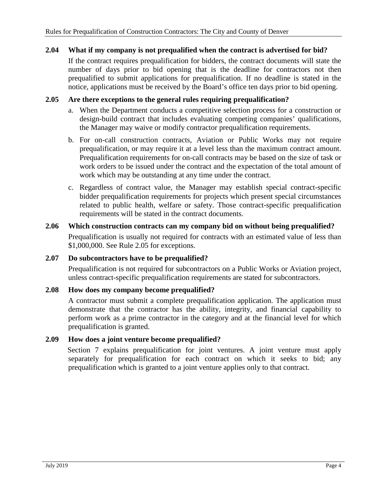## <span id="page-7-0"></span>**2.04 What if my company is not prequalified when the contract is advertised for bid?**

If the contract requires prequalification for bidders, the contract documents will state the number of days prior to bid opening that is the deadline for contractors not then prequalified to submit applications for prequalification. If no deadline is stated in the notice, applications must be received by the Board's office ten days prior to bid opening.

#### <span id="page-7-1"></span>**2.05 Are there exceptions to the general rules requiring prequalification?**

- a. When the Department conducts a competitive selection process for a construction or design-build contract that includes evaluating competing companies' qualifications, the Manager may waive or modify contractor prequalification requirements.
- b. For on-call construction contracts, Aviation or Public Works may not require prequalification, or may require it at a level less than the maximum contract amount. Prequalification requirements for on-call contracts may be based on the size of task or work orders to be issued under the contract and the expectation of the total amount of work which may be outstanding at any time under the contract.
- c. Regardless of contract value, the Manager may establish special contract-specific bidder prequalification requirements for projects which present special circumstances related to public health, welfare or safety. Those contract-specific prequalification requirements will be stated in the contract documents.

# <span id="page-7-2"></span>**2.06 Which construction contracts can my company bid on without being prequalified?** Prequalification is usually not required for contracts with an estimated value of less than \$1,000,000. See Rule 2.05 for exceptions.

## <span id="page-7-3"></span>**2.07 Do subcontractors have to be prequalified?**

Prequalification is not required for subcontractors on a Public Works or Aviation project, unless contract-specific prequalification requirements are stated for subcontractors.

#### <span id="page-7-4"></span>**2.08 How does my company become prequalified?**

A contractor must submit a complete prequalification application. The application must demonstrate that the contractor has the ability, integrity, and financial capability to perform work as a prime contractor in the category and at the financial level for which prequalification is granted.

#### <span id="page-7-5"></span>**2.09 How does a joint venture become prequalified?**

<span id="page-7-6"></span>Section 7 explains prequalification for joint ventures. A joint venture must apply separately for prequalification for each contract on which it seeks to bid; any prequalification which is granted to a joint venture applies only to that contract.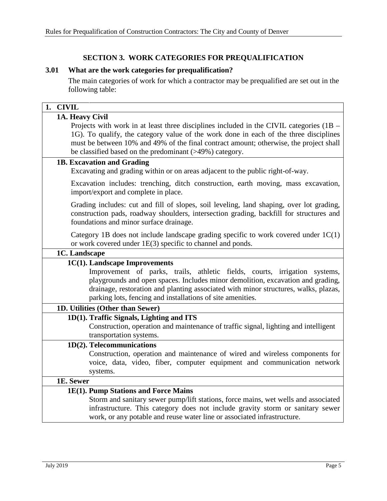# **SECTION 3. WORK CATEGORIES FOR PREQUALIFICATION**

#### <span id="page-8-0"></span>**3.01 What are the work categories for prequalification?**

The main categories of work for which a contractor may be prequalified are set out in the following table:

| 1. CIVIL                                                                                                                                                                                                                                                                                                                                                 |
|----------------------------------------------------------------------------------------------------------------------------------------------------------------------------------------------------------------------------------------------------------------------------------------------------------------------------------------------------------|
| 1A. Heavy Civil<br>Projects with work in at least three disciplines included in the CIVIL categories (1B –<br>1G). To qualify, the category value of the work done in each of the three disciplines<br>must be between 10% and 49% of the final contract amount; otherwise, the project shall<br>be classified based on the predominant (>49%) category. |
| 1B. Excavation and Grading<br>Excavating and grading within or on areas adjacent to the public right-of-way.                                                                                                                                                                                                                                             |
| Excavation includes: trenching, ditch construction, earth moving, mass excavation,<br>import/export and complete in place.                                                                                                                                                                                                                               |
| Grading includes: cut and fill of slopes, soil leveling, land shaping, over lot grading,<br>construction pads, roadway shoulders, intersection grading, backfill for structures and<br>foundations and minor surface drainage.                                                                                                                           |
| Category 1B does not include landscape grading specific to work covered under $1C(1)$<br>or work covered under 1E(3) specific to channel and ponds.                                                                                                                                                                                                      |
| 1C. Landscape                                                                                                                                                                                                                                                                                                                                            |
| 1C(1). Landscape Improvements<br>Improvement of parks, trails, athletic fields, courts, irrigation systems,<br>playgrounds and open spaces. Includes minor demolition, excavation and grading,<br>drainage, restoration and planting associated with minor structures, walks, plazas,<br>parking lots, fencing and installations of site amenities.      |
| 1D. Utilities (Other than Sewer)                                                                                                                                                                                                                                                                                                                         |
| 1D(1). Traffic Signals, Lighting and ITS<br>Construction, operation and maintenance of traffic signal, lighting and intelligent<br>transportation systems.                                                                                                                                                                                               |
| 1D(2). Telecommunications<br>Construction, operation and maintenance of wired and wireless components for<br>voice, data, video, fiber, computer equipment and communication network<br>systems.                                                                                                                                                         |
| 1E. Sewer                                                                                                                                                                                                                                                                                                                                                |
| 1E(1). Pump Stations and Force Mains<br>Storm and sanitary sewer pump/lift stations, force mains, wet wells and associated<br>infrastructure. This category does not include gravity storm or sanitary sewer<br>work, or any potable and reuse water line or associated infrastructure.                                                                  |
|                                                                                                                                                                                                                                                                                                                                                          |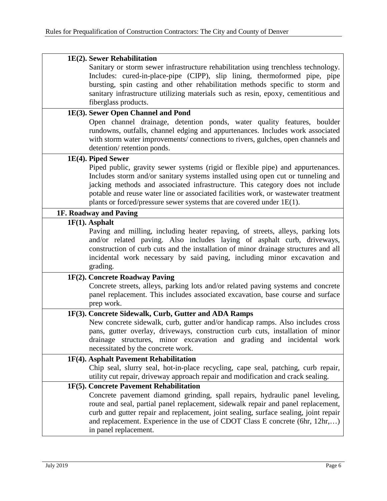| 1E(2). Sewer Rehabilitation                                                                                                                                                                                                                                                                                                                                                                                             |
|-------------------------------------------------------------------------------------------------------------------------------------------------------------------------------------------------------------------------------------------------------------------------------------------------------------------------------------------------------------------------------------------------------------------------|
| Sanitary or storm sewer infrastructure rehabilitation using trenchless technology.<br>Includes: cured-in-place-pipe (CIPP), slip lining, thermoformed pipe, pipe<br>bursting, spin casting and other rehabilitation methods specific to storm and<br>sanitary infrastructure utilizing materials such as resin, epoxy, cementitious and<br>fiberglass products.                                                         |
| 1E(3). Sewer Open Channel and Pond                                                                                                                                                                                                                                                                                                                                                                                      |
| Open channel drainage, detention ponds, water quality features, boulder<br>rundowns, outfalls, channel edging and appurtenances. Includes work associated<br>with storm water improvements/ connections to rivers, gulches, open channels and<br>detention/retention ponds.                                                                                                                                             |
| 1E(4). Piped Sewer                                                                                                                                                                                                                                                                                                                                                                                                      |
| Piped public, gravity sewer systems (rigid or flexible pipe) and appurtenances.<br>Includes storm and/or sanitary systems installed using open cut or tunneling and<br>jacking methods and associated infrastructure. This category does not include<br>potable and reuse water line or associated facilities work, or wastewater treatment<br>plants or forced/pressure sewer systems that are covered under $1E(1)$ . |
| 1F. Roadway and Paving                                                                                                                                                                                                                                                                                                                                                                                                  |
| $1F(1)$ . Asphalt                                                                                                                                                                                                                                                                                                                                                                                                       |
| Paving and milling, including heater repaving, of streets, alleys, parking lots<br>and/or related paving. Also includes laying of asphalt curb, driveways,<br>construction of curb cuts and the installation of minor drainage structures and all<br>incidental work necessary by said paving, including minor excavation and<br>grading.                                                                               |
| 1F(2). Concrete Roadway Paving                                                                                                                                                                                                                                                                                                                                                                                          |
| Concrete streets, alleys, parking lots and/or related paving systems and concrete<br>panel replacement. This includes associated excavation, base course and surface<br>prep work.                                                                                                                                                                                                                                      |
| 1F(3). Concrete Sidewalk, Curb, Gutter and ADA Ramps                                                                                                                                                                                                                                                                                                                                                                    |
| New concrete sidewalk, curb, gutter and/or handicap ramps. Also includes cross<br>pans, gutter overlay, driveways, construction curb cuts, installation of minor<br>drainage structures, minor excavation and grading and incidental work<br>necessitated by the concrete work.                                                                                                                                         |
| 1F(4). Asphalt Pavement Rehabilitation                                                                                                                                                                                                                                                                                                                                                                                  |
| Chip seal, slurry seal, hot-in-place recycling, cape seal, patching, curb repair,<br>utility cut repair, driveway approach repair and modification and crack sealing.                                                                                                                                                                                                                                                   |
| 1F(5). Concrete Pavement Rehabilitation                                                                                                                                                                                                                                                                                                                                                                                 |
| Concrete pavement diamond grinding, spall repairs, hydraulic panel leveling,<br>route and seal, partial panel replacement, sidewalk repair and panel replacement,<br>curb and gutter repair and replacement, joint sealing, surface sealing, joint repair<br>and replacement. Experience in the use of CDOT Class E concrete (6hr, 12hr,)<br>in panel replacement.                                                      |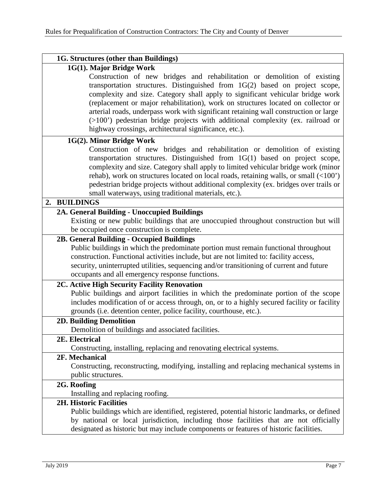| 1G. Structures (other than Buildings)                                                                                                                                                                                                                                                                                                                                                                                                                                                                                                                             |
|-------------------------------------------------------------------------------------------------------------------------------------------------------------------------------------------------------------------------------------------------------------------------------------------------------------------------------------------------------------------------------------------------------------------------------------------------------------------------------------------------------------------------------------------------------------------|
| 1G(1). Major Bridge Work                                                                                                                                                                                                                                                                                                                                                                                                                                                                                                                                          |
| Construction of new bridges and rehabilitation or demolition of existing<br>transportation structures. Distinguished from 1G(2) based on project scope,<br>complexity and size. Category shall apply to significant vehicular bridge work<br>(replacement or major rehabilitation), work on structures located on collector or<br>arterial roads, underpass work with significant retaining wall construction or large<br>(>100') pedestrian bridge projects with additional complexity (ex. railroad or<br>highway crossings, architectural significance, etc.). |
| 1G(2). Minor Bridge Work                                                                                                                                                                                                                                                                                                                                                                                                                                                                                                                                          |
| Construction of new bridges and rehabilitation or demolition of existing<br>transportation structures. Distinguished from 1G(1) based on project scope,<br>complexity and size. Category shall apply to limited vehicular bridge work (minor<br>rehab), work on structures located on local roads, retaining walls, or small (<100')<br>pedestrian bridge projects without additional complexity (ex. bridges over trails or<br>small waterways, using traditional materials, etc.).                                                                              |
| 2. BUILDINGS                                                                                                                                                                                                                                                                                                                                                                                                                                                                                                                                                      |
| 2A. General Building - Unoccupied Buildings                                                                                                                                                                                                                                                                                                                                                                                                                                                                                                                       |
| Existing or new public buildings that are unoccupied throughout construction but will                                                                                                                                                                                                                                                                                                                                                                                                                                                                             |
| be occupied once construction is complete.                                                                                                                                                                                                                                                                                                                                                                                                                                                                                                                        |
| 2B. General Building - Occupied Buildings<br>Public buildings in which the predominate portion must remain functional throughout<br>construction. Functional activities include, but are not limited to: facility access,                                                                                                                                                                                                                                                                                                                                         |
| security, uninterrupted utilities, sequencing and/or transitioning of current and future                                                                                                                                                                                                                                                                                                                                                                                                                                                                          |
| occupants and all emergency response functions.                                                                                                                                                                                                                                                                                                                                                                                                                                                                                                                   |
| 2C. Active High Security Facility Renovation<br>Public buildings and airport facilities in which the predominate portion of the scope<br>includes modification of or access through, on, or to a highly secured facility or facility<br>grounds (i.e. detention center, police facility, courthouse, etc.).                                                                                                                                                                                                                                                       |
| 2D. Building Demolition                                                                                                                                                                                                                                                                                                                                                                                                                                                                                                                                           |
| Demolition of buildings and associated facilities.                                                                                                                                                                                                                                                                                                                                                                                                                                                                                                                |
| 2E. Electrical                                                                                                                                                                                                                                                                                                                                                                                                                                                                                                                                                    |
| Constructing, installing, replacing and renovating electrical systems.                                                                                                                                                                                                                                                                                                                                                                                                                                                                                            |
| 2F. Mechanical                                                                                                                                                                                                                                                                                                                                                                                                                                                                                                                                                    |
| Constructing, reconstructing, modifying, installing and replacing mechanical systems in<br>public structures.                                                                                                                                                                                                                                                                                                                                                                                                                                                     |
| 2G. Roofing<br>Installing and replacing roofing.                                                                                                                                                                                                                                                                                                                                                                                                                                                                                                                  |
| <b>2H. Historic Facilities</b><br>Public buildings which are identified, registered, potential historic landmarks, or defined<br>by national or local jurisdiction, including those facilities that are not officially<br>designated as historic but may include components or features of historic facilities.                                                                                                                                                                                                                                                   |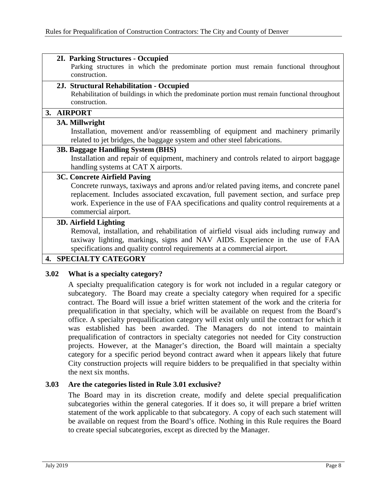#### **2I. Parking Structures - Occupied**

Parking structures in which the predominate portion must remain functional throughout construction.

#### **2J. Structural Rehabilitation - Occupied**

Rehabilitation of buildings in which the predominate portion must remain functional throughout construction.

## **3. AIRPORT**

#### **3A. Millwright**

Installation, movement and/or reassembling of equipment and machinery primarily related to jet bridges, the baggage system and other steel fabrications.

#### **3B. Baggage Handling System (BHS)**

Installation and repair of equipment, machinery and controls related to airport baggage handling systems at CAT X airports.

#### **3C. Concrete Airfield Paving**

Concrete runways, taxiways and aprons and/or related paving items, and concrete panel replacement. Includes associated excavation, full pavement section, and surface prep work. Experience in the use of FAA specifications and quality control requirements at a commercial airport.

#### **3D. Airfield Lighting**

Removal, installation, and rehabilitation of airfield visual aids including runway and taxiway lighting, markings, signs and NAV AIDS. Experience in the use of FAA specifications and quality control requirements at a commercial airport.

#### **4. SPECIALTY CATEGORY**

#### <span id="page-11-0"></span>**3.02 What is a specialty category?**

A specialty prequalification category is for work not included in a regular category or subcategory. The Board may create a specialty category when required for a specific contract. The Board will issue a brief written statement of the work and the criteria for prequalification in that specialty, which will be available on request from the Board's office. A specialty prequalification category will exist only until the contract for which it was established has been awarded. The Managers do not intend to maintain prequalification of contractors in specialty categories not needed for City construction projects. However, at the Manager's direction, the Board will maintain a specialty category for a specific period beyond contract award when it appears likely that future City construction projects will require bidders to be prequalified in that specialty within the next six months.

#### <span id="page-11-1"></span>**3.03 Are the categories listed in Rule 3.01 exclusive?**

The Board may in its discretion create, modify and delete special prequalification subcategories within the general categories. If it does so, it will prepare a brief written statement of the work applicable to that subcategory. A copy of each such statement will be available on request from the Board's office. Nothing in this Rule requires the Board to create special subcategories, except as directed by the Manager.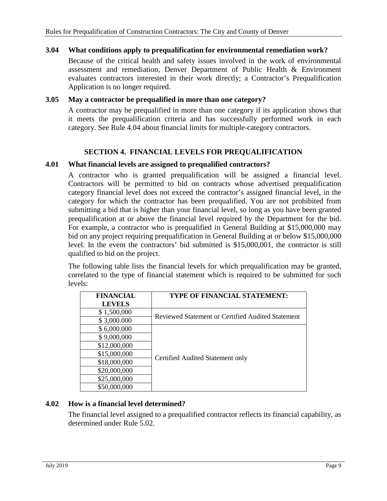## <span id="page-12-0"></span>**3.04 What conditions apply to prequalification for environmental remediation work?**

Because of the critical health and safety issues involved in the work of environmental assessment and remediation, Denver Department of Public Health & Environment evaluates contractors interested in their work directly; a Contractor's Prequalification Application is no longer required.

#### <span id="page-12-1"></span>**3.05 May a contractor be prequalified in more than one category?**

A contractor may be prequalified in more than one category if its application shows that it meets the prequalification criteria and has successfully performed work in each category. See Rule 4.04 about financial limits for multiple-category contractors.

#### **SECTION 4. FINANCIAL LEVELS FOR PREQUALIFICATION**

#### <span id="page-12-3"></span><span id="page-12-2"></span>**4.01 What financial levels are assigned to prequalified contractors?**

A contractor who is granted prequalification will be assigned a financial level. Contractors will be permitted to bid on contracts whose advertised prequalification category financial level does not exceed the contractor's assigned financial level, in the category for which the contractor has been prequalified. You are not prohibited from submitting a bid that is higher than your financial level, so long as you have been granted prequalification at or above the financial level required by the Department for the bid. For example, a contractor who is prequalified in General Building at \$15,000,000 may bid on any project requiring prequalification in General Building at or below \$15,000,000 level. In the event the contractors' bid submitted is \$15,000,001, the contractor is still qualified to bid on the project.

The following table lists the financial levels for which prequalification may be granted, correlated to the type of financial statement which is required to be submitted for such levels:

| <b>FINANCIAL</b> | TYPE OF FINANCIAL STATEMENT:                      |  |
|------------------|---------------------------------------------------|--|
| <b>LEVELS</b>    |                                                   |  |
| \$1,500,000      |                                                   |  |
| \$3,000.000      | Reviewed Statement or Certified Audited Statement |  |
| \$6,000.000      |                                                   |  |
| \$9,000,000      |                                                   |  |
| \$12,000,000     |                                                   |  |
| \$15,000,000     |                                                   |  |
| \$18,000,000     | Certified Audited Statement only                  |  |
| \$20,000,000     |                                                   |  |
| \$25,000,000     |                                                   |  |
| \$50,000,000     |                                                   |  |

## <span id="page-12-4"></span>**4.02 How is a financial level determined?**

The financial level assigned to a prequalified contractor reflects its financial capability, as determined under Rule 5.02.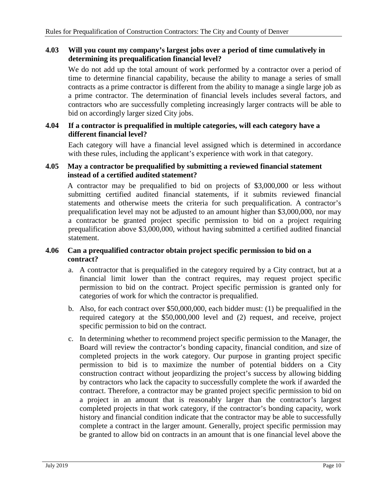#### <span id="page-13-0"></span>**4.03 Will you count my company's largest jobs over a period of time cumulatively in determining its prequalification financial level?**

We do not add up the total amount of work performed by a contractor over a period of time to determine financial capability, because the ability to manage a series of small contracts as a prime contractor is different from the ability to manage a single large job as a prime contractor. The determination of financial levels includes several factors, and contractors who are successfully completing increasingly larger contracts will be able to bid on accordingly larger sized City jobs.

#### <span id="page-13-1"></span>**4.04 If a contractor is prequalified in multiple categories, will each category have a different financial level?**

Each category will have a financial level assigned which is determined in accordance with these rules, including the applicant's experience with work in that category.

#### <span id="page-13-2"></span>**4.05 May a contractor be prequalified by submitting a reviewed financial statement instead of a certified audited statement?**

A contractor may be prequalified to bid on projects of \$3,000,000 or less without submitting certified audited financial statements, if it submits reviewed financial statements and otherwise meets the criteria for such prequalification. A contractor's prequalification level may not be adjusted to an amount higher than \$3,000,000, nor may a contractor be granted project specific permission to bid on a project requiring prequalification above \$3,000,000, without having submitted a certified audited financial statement.

## <span id="page-13-3"></span>**4.06 Can a prequalified contractor obtain project specific permission to bid on a contract?**

- a. A contractor that is prequalified in the category required by a City contract, but at a financial limit lower than the contract requires, may request project specific permission to bid on the contract. Project specific permission is granted only for categories of work for which the contractor is prequalified.
- b. Also, for each contract over \$50,000,000, each bidder must: (1) be prequalified in the required category at the \$50,000,000 level and (2) request, and receive, project specific permission to bid on the contract.
- c. In determining whether to recommend project specific permission to the Manager, the Board will review the contractor's bonding capacity, financial condition, and size of completed projects in the work category. Our purpose in granting project specific permission to bid is to maximize the number of potential bidders on a City construction contract without jeopardizing the project's success by allowing bidding by contractors who lack the capacity to successfully complete the work if awarded the contract. Therefore, a contractor may be granted project specific permission to bid on a project in an amount that is reasonably larger than the contractor's largest completed projects in that work category, if the contractor's bonding capacity, work history and financial condition indicate that the contractor may be able to successfully complete a contract in the larger amount. Generally, project specific permission may be granted to allow bid on contracts in an amount that is one financial level above the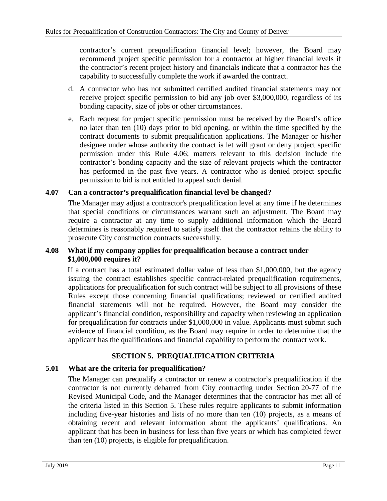contractor's current prequalification financial level; however, the Board may recommend project specific permission for a contractor at higher financial levels if the contractor's recent project history and financials indicate that a contractor has the capability to successfully complete the work if awarded the contract.

- d. A contractor who has not submitted certified audited financial statements may not receive project specific permission to bid any job over \$3,000,000, regardless of its bonding capacity, size of jobs or other circumstances.
- e. Each request for project specific permission must be received by the Board's office no later than ten (10) days prior to bid opening, or within the time specified by the contract documents to submit prequalification applications. The Manager or his/her designee under whose authority the contract is let will grant or deny project specific permission under this Rule 4.06; matters relevant to this decision include the contractor's bonding capacity and the size of relevant projects which the contractor has performed in the past five years. A contractor who is denied project specific permission to bid is not entitled to appeal such denial.

## <span id="page-14-0"></span>**4.07 Can a contractor's prequalification financial level be changed?**

The Manager may adjust a contractor's prequalification level at any time if he determines that special conditions or circumstances warrant such an adjustment. The Board may require a contractor at any time to supply additional information which the Board determines is reasonably required to satisfy itself that the contractor retains the ability to prosecute City construction contracts successfully.

## <span id="page-14-1"></span>**4.08 What if my company applies for prequalification because a contract under \$1,000,000 requires it?**

If a contract has a total estimated dollar value of less than \$1,000,000, but the agency issuing the contract establishes specific contract-related prequalification requirements, applications for prequalification for such contract will be subject to all provisions of these Rules except those concerning financial qualifications; reviewed or certified audited financial statements will not be required. However, the Board may consider the applicant's financial condition, responsibility and capacity when reviewing an application for prequalification for contracts under \$1,000,000 in value. Applicants must submit such evidence of financial condition, as the Board may require in order to determine that the applicant has the qualifications and financial capability to perform the contract work.

## **SECTION 5. PREQUALIFICATION CRITERIA**

## <span id="page-14-3"></span><span id="page-14-2"></span>**5.01 What are the criteria for prequalification?**

The Manager can prequalify a contractor or renew a contractor's prequalification if the contractor is not currently debarred from City contracting under Section 20-77 of the Revised Municipal Code, and the Manager determines that the contractor has met all of the criteria listed in this Section 5. These rules require applicants to submit information including five-year histories and lists of no more than ten (10) projects, as a means of obtaining recent and relevant information about the applicants' qualifications. An applicant that has been in business for less than five years or which has completed fewer than ten (10) projects, is eligible for prequalification.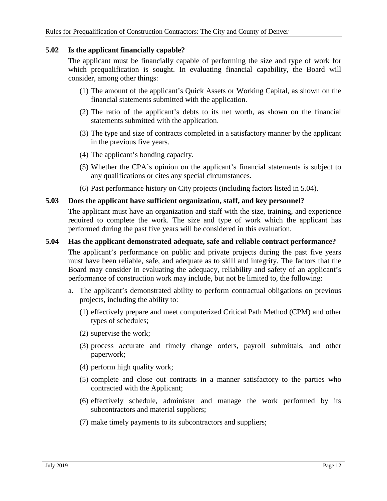## <span id="page-15-0"></span>**5.02 Is the applicant financially capable?**

The applicant must be financially capable of performing the size and type of work for which prequalification is sought. In evaluating financial capability, the Board will consider, among other things:

- (1) The amount of the applicant's Quick Assets or Working Capital, as shown on the financial statements submitted with the application.
- (2) The ratio of the applicant's debts to its net worth, as shown on the financial statements submitted with the application.
- (3) The type and size of contracts completed in a satisfactory manner by the applicant in the previous five years.
- (4) The applicant's bonding capacity.
- (5) Whether the CPA's opinion on the applicant's financial statements is subject to any qualifications or cites any special circumstances.
- (6) Past performance history on City projects (including factors listed in 5.04).

#### <span id="page-15-1"></span>**5.03 Does the applicant have sufficient organization, staff, and key personnel?**

The applicant must have an organization and staff with the size, training, and experience required to complete the work. The size and type of work which the applicant has performed during the past five years will be considered in this evaluation.

#### <span id="page-15-2"></span>**5.04 Has the applicant demonstrated adequate, safe and reliable contract performance?**

The applicant's performance on public and private projects during the past five years must have been reliable, safe, and adequate as to skill and integrity. The factors that the Board may consider in evaluating the adequacy, reliability and safety of an applicant's performance of construction work may include, but not be limited to, the following:

- a. The applicant's demonstrated ability to perform contractual obligations on previous projects, including the ability to:
	- (1) effectively prepare and meet computerized Critical Path Method (CPM) and other types of schedules;
	- (2) supervise the work;
	- (3) process accurate and timely change orders, payroll submittals, and other paperwork;
	- (4) perform high quality work;
	- (5) complete and close out contracts in a manner satisfactory to the parties who contracted with the Applicant;
	- (6) effectively schedule, administer and manage the work performed by its subcontractors and material suppliers;
	- (7) make timely payments to its subcontractors and suppliers;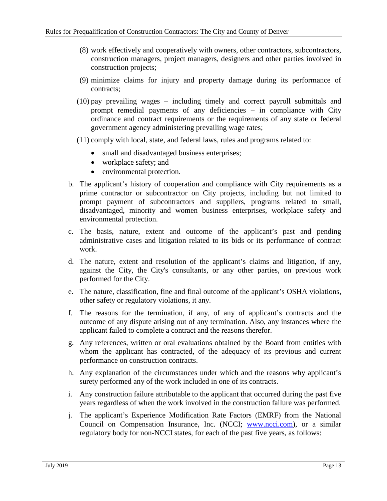- (8) work effectively and cooperatively with owners, other contractors, subcontractors, construction managers, project managers, designers and other parties involved in construction projects;
- (9) minimize claims for injury and property damage during its performance of contracts;
- (10) pay prevailing wages including timely and correct payroll submittals and prompt remedial payments of any deficiencies – in compliance with City ordinance and contract requirements or the requirements of any state or federal government agency administering prevailing wage rates;
- (11) comply with local, state, and federal laws, rules and programs related to:
	- small and disadvantaged business enterprises;
	- workplace safety; and
	- environmental protection.
- b. The applicant's history of cooperation and compliance with City requirements as a prime contractor or subcontractor on City projects, including but not limited to prompt payment of subcontractors and suppliers, programs related to small, disadvantaged, minority and women business enterprises, workplace safety and environmental protection.
- c. The basis, nature, extent and outcome of the applicant's past and pending administrative cases and litigation related to its bids or its performance of contract work.
- d. The nature, extent and resolution of the applicant's claims and litigation, if any, against the City, the City's consultants, or any other parties, on previous work performed for the City.
- e. The nature, classification, fine and final outcome of the applicant's OSHA violations, other safety or regulatory violations, it any.
- f. The reasons for the termination, if any, of any of applicant's contracts and the outcome of any dispute arising out of any termination. Also, any instances where the applicant failed to complete a contract and the reasons therefor.
- g. Any references, written or oral evaluations obtained by the Board from entities with whom the applicant has contracted, of the adequacy of its previous and current performance on construction contracts.
- h. Any explanation of the circumstances under which and the reasons why applicant's surety performed any of the work included in one of its contracts.
- i. Any construction failure attributable to the applicant that occurred during the past five years regardless of when the work involved in the construction failure was performed.
- j. The applicant's Experience Modification Rate Factors (EMRF) from the National Council on Compensation Insurance, Inc. (NCCI; [www.ncci.com\)](http://www.ncci.com/), or a similar regulatory body for non-NCCI states, for each of the past five years, as follows: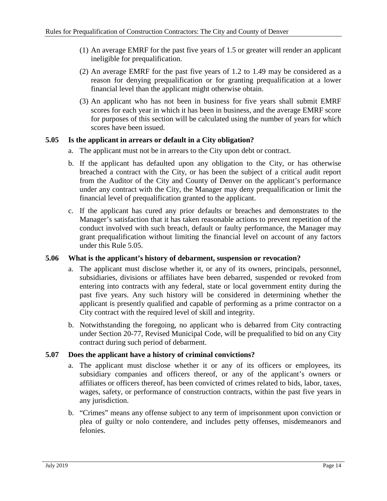- (1) An average EMRF for the past five years of 1.5 or greater will render an applicant ineligible for prequalification.
- (2) An average EMRF for the past five years of 1.2 to 1.49 may be considered as a reason for denying prequalification or for granting prequalification at a lower financial level than the applicant might otherwise obtain.
- (3) An applicant who has not been in business for five years shall submit EMRF scores for each year in which it has been in business, and the average EMRF score for purposes of this section will be calculated using the number of years for which scores have been issued.

## <span id="page-17-0"></span>**5.05 Is the applicant in arrears or default in a City obligation?**

- a. The applicant must not be in arrears to the City upon debt or contract.
- b. If the applicant has defaulted upon any obligation to the City, or has otherwise breached a contract with the City, or has been the subject of a critical audit report from the Auditor of the City and County of Denver on the applicant's performance under any contract with the City, the Manager may deny prequalification or limit the financial level of prequalification granted to the applicant.
- c. If the applicant has cured any prior defaults or breaches and demonstrates to the Manager's satisfaction that it has taken reasonable actions to prevent repetition of the conduct involved with such breach, default or faulty performance, the Manager may grant prequalification without limiting the financial level on account of any factors under this Rule 5.05.

## <span id="page-17-1"></span>**5.06 What is the applicant's history of debarment, suspension or revocation?**

- a. The applicant must disclose whether it, or any of its owners, principals, personnel, subsidiaries, divisions or affiliates have been debarred, suspended or revoked from entering into contracts with any federal, state or local government entity during the past five years. Any such history will be considered in determining whether the applicant is presently qualified and capable of performing as a prime contractor on a City contract with the required level of skill and integrity.
- b. Notwithstanding the foregoing, no applicant who is debarred from City contracting under Section 20-77, Revised Municipal Code, will be prequalified to bid on any City contract during such period of debarment.

## <span id="page-17-2"></span>**5.07 Does the applicant have a history of criminal convictions?**

- a. The applicant must disclose whether it or any of its officers or employees, its subsidiary companies and officers thereof, or any of the applicant's owners or affiliates or officers thereof, has been convicted of crimes related to bids, labor, taxes, wages, safety, or performance of construction contracts, within the past five years in any jurisdiction.
- b. "Crimes" means any offense subject to any term of imprisonment upon conviction or plea of guilty or nolo contendere, and includes petty offenses, misdemeanors and felonies.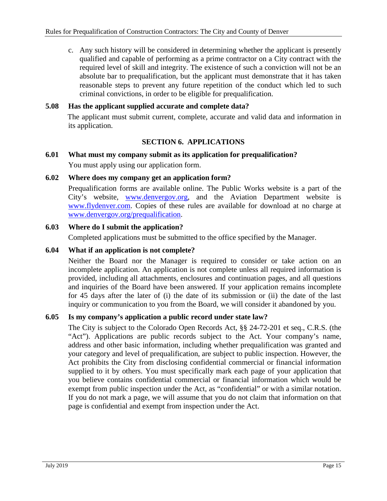c. Any such history will be considered in determining whether the applicant is presently qualified and capable of performing as a prime contractor on a City contract with the required level of skill and integrity. The existence of such a conviction will not be an absolute bar to prequalification, but the applicant must demonstrate that it has taken reasonable steps to prevent any future repetition of the conduct which led to such criminal convictions, in order to be eligible for prequalification.

## <span id="page-18-0"></span>**5.08 Has the applicant supplied accurate and complete data?**

The applicant must submit current, complete, accurate and valid data and information in its application.

## **SECTION 6. APPLICATIONS**

# <span id="page-18-2"></span><span id="page-18-1"></span>**6.01 What must my company submit as its application for prequalification?** You must apply using our application form.

## <span id="page-18-3"></span>**6.02 Where does my company get an application form?**

Prequalification forms are available online. The Public Works website is a part of the City's website, [www.denvergov.org,](http://www.denvergov.org/) and the Aviation Department website is [www.flydenver.com.](http://www.flydenver.com/) Copies of these rules are available for download at no charge at [www.denvergov.org/prequalification.](http://www.denvergov.org/prequalification)

#### <span id="page-18-4"></span>**6.03 Where do I submit the application?**

Completed applications must be submitted to the office specified by the Manager.

#### <span id="page-18-5"></span>**6.04 What if an application is not complete?**

Neither the Board nor the Manager is required to consider or take action on an incomplete application. An application is not complete unless all required information is provided, including all attachments, enclosures and continuation pages, and all questions and inquiries of the Board have been answered. If your application remains incomplete for 45 days after the later of (i) the date of its submission or (ii) the date of the last inquiry or communication to you from the Board, we will consider it abandoned by you.

## <span id="page-18-6"></span>**6.05 Is my company's application a public record under state law?**

The City is subject to the Colorado Open Records Act, §§ 24-72-201 et seq., C.R.S. (the "Act"). Applications are public records subject to the Act. Your company's name, address and other basic information, including whether prequalification was granted and your category and level of prequalification, are subject to public inspection. However, the Act prohibits the City from disclosing confidential commercial or financial information supplied to it by others. You must specifically mark each page of your application that you believe contains confidential commercial or financial information which would be exempt from public inspection under the Act, as "confidential" or with a similar notation. If you do not mark a page, we will assume that you do not claim that information on that page is confidential and exempt from inspection under the Act.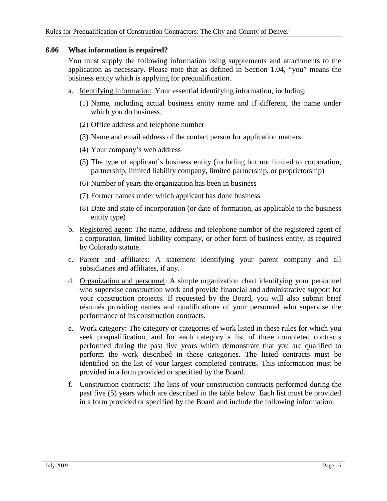#### <span id="page-19-0"></span>**6.06 What information is required?**

You must supply the following information using supplements and attachments to the application as necessary. Please note that as defined in Section 1.04, "you" means the business entity which is applying for prequalification.

- a. Identifying information: Your essential identifying information, including:
	- (1) Name, including actual business entity name and if different, the name under which you do business.
	- (2) Office address and telephone number
	- (3) Name and email address of the contact person for application matters
	- (4) Your company's web address
	- (5) The type of applicant's business entity (including but not limited to corporation, partnership, limited liability company, limited partnership, or proprietorship)
	- (6) Number of years the organization has been in business
	- (7) Former names under which applicant has done business
	- (8) Date and state of incorporation (or date of formation, as applicable to the business entity type)
- b. Registered agent: The name, address and telephone number of the registered agent of a corporation, limited liability company, or other form of business entity, as required by Colorado statute.
- c. Parent and affiliates: A statement identifying your parent company and all subsidiaries and affiliates, if any.
- d. Organization and personnel: A simple organization chart identifying your personnel who supervise construction work and provide financial and administrative support for your construction projects. If requested by the Board, you will also submit brief résumés providing names and qualifications of your personnel who supervise the performance of its construction contracts.
- e. Work category: The category or categories of work listed in these rules for which you seek prequalification, and for each category a list of three completed contracts performed during the past five years which demonstrate that you are qualified to perform the work described in those categories. The listed contracts must be identified on the list of your largest completed contracts. This information must be provided in a form provided or specified by the Board.
- f. Construction contracts: The lists of your construction contracts performed during the past five (5) years which are described in the table below. Each list must be provided in a form provided or specified by the Board and include the following information: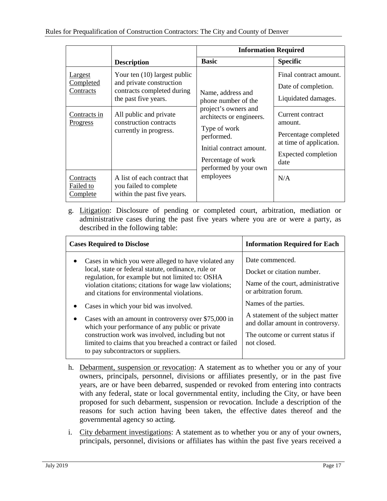|                                           |                                                                                                                | <b>Information Required</b>                                                                                                                                                                                        |                                                                                                               |
|-------------------------------------------|----------------------------------------------------------------------------------------------------------------|--------------------------------------------------------------------------------------------------------------------------------------------------------------------------------------------------------------------|---------------------------------------------------------------------------------------------------------------|
|                                           | <b>Description</b>                                                                                             | <b>Basic</b>                                                                                                                                                                                                       | <b>Specific</b>                                                                                               |
| Largest<br>Completed<br>Contracts         | Your ten (10) largest public<br>and private construction<br>contracts completed during<br>the past five years. | Name, address and<br>phone number of the<br>project's owners and<br>architects or engineers.<br>Type of work<br>performed.<br>Initial contract amount.<br>Percentage of work<br>performed by your own<br>employees | Final contract amount.<br>Date of completion.<br>Liquidated damages.                                          |
| Contracts in<br>Progress                  | All public and private<br>construction contracts<br>currently in progress.                                     |                                                                                                                                                                                                                    | Current contract<br>amount.<br>Percentage completed<br>at time of application.<br>Expected completion<br>date |
| Contracts<br>Failed to<br><b>Complete</b> | A list of each contract that<br>you failed to complete<br>within the past five years.                          |                                                                                                                                                                                                                    | N/A                                                                                                           |

g. Litigation: Disclosure of pending or completed court, arbitration, mediation or administrative cases during the past five years where you are or were a party, as described in the following table:

| <b>Cases Required to Disclose</b>                                                                                                                                                                                                                                         | <b>Information Required for Each</b>                                                                        |
|---------------------------------------------------------------------------------------------------------------------------------------------------------------------------------------------------------------------------------------------------------------------------|-------------------------------------------------------------------------------------------------------------|
| Cases in which you were alleged to have violated any<br>local, state or federal statute, ordinance, rule or<br>regulation, for example but not limited to: OSHA<br>violation citations; citations for wage law violations;<br>and citations for environmental violations. | Date commenced.<br>Docket or citation number.<br>Name of the court, administrative<br>or arbitration forum. |
| Cases in which your bid was involved.<br>Cases with an amount in controversy over \$75,000 in<br>$\bullet$<br>which your performance of any public or private                                                                                                             | Names of the parties.<br>A statement of the subject matter<br>and dollar amount in controversy.             |
| construction work was involved, including but not<br>limited to claims that you breached a contract or failed<br>to pay subcontractors or suppliers.                                                                                                                      | The outcome or current status if<br>not closed.                                                             |

- h. Debarment, suspension or revocation: A statement as to whether you or any of your owners, principals, personnel, divisions or affiliates presently, or in the past five years, are or have been debarred, suspended or revoked from entering into contracts with any federal, state or local governmental entity, including the City, or have been proposed for such debarment, suspension or revocation. Include a description of the reasons for such action having been taken, the effective dates thereof and the governmental agency so acting.
- i. City debarment investigations: A statement as to whether you or any of your owners, principals, personnel, divisions or affiliates has within the past five years received a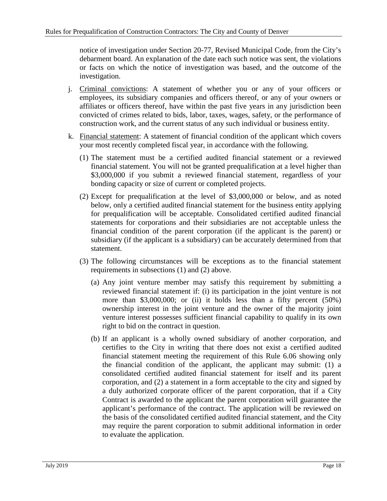notice of investigation under Section 20-77, Revised Municipal Code, from the City's debarment board. An explanation of the date each such notice was sent, the violations or facts on which the notice of investigation was based, and the outcome of the investigation.

- j. Criminal convictions: A statement of whether you or any of your officers or employees, its subsidiary companies and officers thereof, or any of your owners or affiliates or officers thereof, have within the past five years in any jurisdiction been convicted of crimes related to bids, labor, taxes, wages, safety, or the performance of construction work, and the current status of any such individual or business entity.
- k. Financial statement: A statement of financial condition of the applicant which covers your most recently completed fiscal year, in accordance with the following.
	- (1) The statement must be a certified audited financial statement or a reviewed financial statement. You will not be granted prequalification at a level higher than \$3,000,000 if you submit a reviewed financial statement, regardless of your bonding capacity or size of current or completed projects.
	- (2) Except for prequalification at the level of \$3,000,000 or below, and as noted below, only a certified audited financial statement for the business entity applying for prequalification will be acceptable. Consolidated certified audited financial statements for corporations and their subsidiaries are not acceptable unless the financial condition of the parent corporation (if the applicant is the parent) or subsidiary (if the applicant is a subsidiary) can be accurately determined from that statement.
	- (3) The following circumstances will be exceptions as to the financial statement requirements in subsections (1) and (2) above.
		- (a) Any joint venture member may satisfy this requirement by submitting a reviewed financial statement if: (i) its participation in the joint venture is not more than \$3,000,000; or (ii) it holds less than a fifty percent (50%) ownership interest in the joint venture and the owner of the majority joint venture interest possesses sufficient financial capability to qualify in its own right to bid on the contract in question.
		- (b) If an applicant is a wholly owned subsidiary of another corporation, and certifies to the City in writing that there does not exist a certified audited financial statement meeting the requirement of this Rule 6.06 showing only the financial condition of the applicant, the applicant may submit: (1) a consolidated certified audited financial statement for itself and its parent corporation, and (2) a statement in a form acceptable to the city and signed by a duly authorized corporate officer of the parent corporation, that if a City Contract is awarded to the applicant the parent corporation will guarantee the applicant's performance of the contract. The application will be reviewed on the basis of the consolidated certified audited financial statement, and the City may require the parent corporation to submit additional information in order to evaluate the application.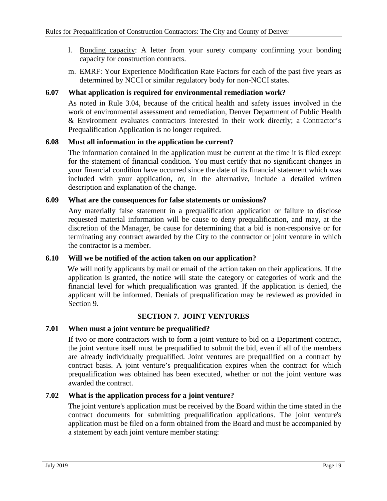- l. Bonding capacity: A letter from your surety company confirming your bonding capacity for construction contracts.
- m. EMRF: Your Experience Modification Rate Factors for each of the past five years as determined by NCCI or similar regulatory body for non-NCCI states.

## <span id="page-22-0"></span>**6.07 What application is required for environmental remediation work?**

As noted in Rule 3.04, because of the critical health and safety issues involved in the work of environmental assessment and remediation, Denver Department of Public Health & Environment evaluates contractors interested in their work directly; a Contractor's Prequalification Application is no longer required.

## <span id="page-22-1"></span>**6.08 Must all information in the application be current?**

The information contained in the application must be current at the time it is filed except for the statement of financial condition. You must certify that no significant changes in your financial condition have occurred since the date of its financial statement which was included with your application, or, in the alternative, include a detailed written description and explanation of the change.

#### <span id="page-22-2"></span>**6.09 What are the consequences for false statements or omissions?**

Any materially false statement in a prequalification application or failure to disclose requested material information will be cause to deny prequalification, and may, at the discretion of the Manager, be cause for determining that a bid is non-responsive or for terminating any contract awarded by the City to the contractor or joint venture in which the contractor is a member.

#### <span id="page-22-3"></span>**6.10 Will we be notified of the action taken on our application?**

We will notify applicants by mail or email of the action taken on their applications. If the application is granted, the notice will state the category or categories of work and the financial level for which prequalification was granted. If the application is denied, the applicant will be informed. Denials of prequalification may be reviewed as provided in Section 9.

## **SECTION 7. JOINT VENTURES**

## <span id="page-22-5"></span><span id="page-22-4"></span>**7.01 When must a joint venture be prequalified?**

If two or more contractors wish to form a joint venture to bid on a Department contract, the joint venture itself must be prequalified to submit the bid, even if all of the members are already individually prequalified. Joint ventures are prequalified on a contract by contract basis. A joint venture's prequalification expires when the contract for which prequalification was obtained has been executed, whether or not the joint venture was awarded the contract.

## <span id="page-22-6"></span>**7.02 What is the application process for a joint venture?**

The joint venture's application must be received by the Board within the time stated in the contract documents for submitting prequalification applications. The joint venture's application must be filed on a form obtained from the Board and must be accompanied by a statement by each joint venture member stating: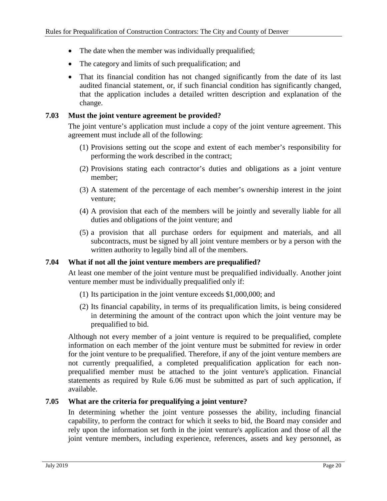- The date when the member was individually prequalified;
- The category and limits of such prequalification; and
- That its financial condition has not changed significantly from the date of its last audited financial statement, or, if such financial condition has significantly changed, that the application includes a detailed written description and explanation of the change.

#### <span id="page-23-0"></span>**7.03 Must the joint venture agreement be provided?**

The joint venture's application must include a copy of the joint venture agreement. This agreement must include all of the following:

- (1) Provisions setting out the scope and extent of each member's responsibility for performing the work described in the contract;
- (2) Provisions stating each contractor's duties and obligations as a joint venture member;
- (3) A statement of the percentage of each member's ownership interest in the joint venture;
- (4) A provision that each of the members will be jointly and severally liable for all duties and obligations of the joint venture; and
- (5) a provision that all purchase orders for equipment and materials, and all subcontracts, must be signed by all joint venture members or by a person with the written authority to legally bind all of the members.

## <span id="page-23-1"></span>**7.04 What if not all the joint venture members are prequalified?**

At least one member of the joint venture must be prequalified individually. Another joint venture member must be individually prequalified only if:

- (1) Its participation in the joint venture exceeds \$1,000,000; and
- (2) Its financial capability, in terms of its prequalification limits, is being considered in determining the amount of the contract upon which the joint venture may be prequalified to bid.

Although not every member of a joint venture is required to be prequalified, complete information on each member of the joint venture must be submitted for review in order for the joint venture to be prequalified. Therefore, if any of the joint venture members are not currently prequalified, a completed prequalification application for each nonprequalified member must be attached to the joint venture's application. Financial statements as required by Rule 6.06 must be submitted as part of such application, if available.

## <span id="page-23-2"></span>**7.05 What are the criteria for prequalifying a joint venture?**

In determining whether the joint venture possesses the ability, including financial capability, to perform the contract for which it seeks to bid, the Board may consider and rely upon the information set forth in the joint venture's application and those of all the joint venture members, including experience, references, assets and key personnel, as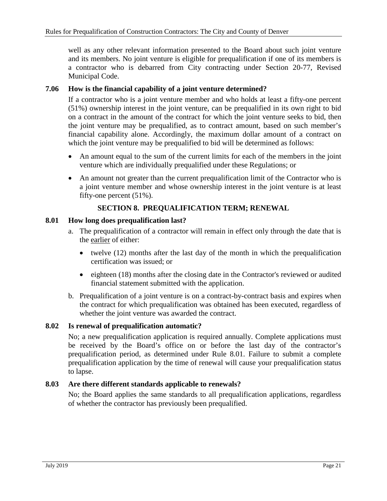well as any other relevant information presented to the Board about such joint venture and its members. No joint venture is eligible for prequalification if one of its members is a contractor who is debarred from City contracting under Section 20-77, Revised Municipal Code.

#### <span id="page-24-0"></span>**7.06 How is the financial capability of a joint venture determined?**

If a contractor who is a joint venture member and who holds at least a fifty-one percent (51%) ownership interest in the joint venture, can be prequalified in its own right to bid on a contract in the amount of the contract for which the joint venture seeks to bid, then the joint venture may be prequalified, as to contract amount, based on such member's financial capability alone. Accordingly, the maximum dollar amount of a contract on which the joint venture may be prequalified to bid will be determined as follows:

- An amount equal to the sum of the current limits for each of the members in the joint venture which are individually prequalified under these Regulations; or
- An amount not greater than the current prequalification limit of the Contractor who is a joint venture member and whose ownership interest in the joint venture is at least fifty-one percent (51%).

## **SECTION 8. PREQUALIFICATION TERM; RENEWAL**

#### <span id="page-24-2"></span><span id="page-24-1"></span>**8.01 How long does prequalification last?**

- a. The prequalification of a contractor will remain in effect only through the date that is the earlier of either:
	- twelve (12) months after the last day of the month in which the prequalification certification was issued; or
	- eighteen (18) months after the closing date in the Contractor's reviewed or audited financial statement submitted with the application.
- b. Prequalification of a joint venture is on a contract-by-contract basis and expires when the contract for which prequalification was obtained has been executed, regardless of whether the joint venture was awarded the contract.

## <span id="page-24-3"></span>**8.02 Is renewal of prequalification automatic?**

No; a new prequalification application is required annually. Complete applications must be received by the Board's office on or before the last day of the contractor's prequalification period, as determined under Rule 8.01. Failure to submit a complete prequalification application by the time of renewal will cause your prequalification status to lapse.

## <span id="page-24-4"></span>**8.03 Are there different standards applicable to renewals?**

No; the Board applies the same standards to all prequalification applications, regardless of whether the contractor has previously been prequalified.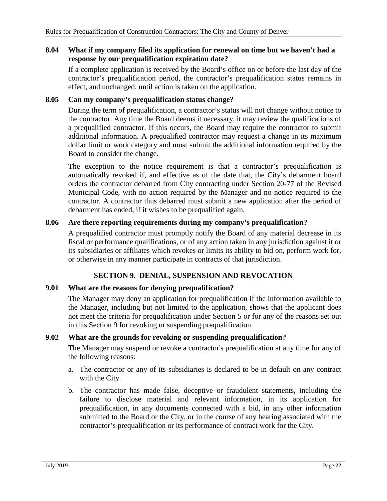#### <span id="page-25-0"></span>**8.04 What if my company filed its application for renewal on time but we haven't had a response by our prequalification expiration date?**

If a complete application is received by the Board's office on or before the last day of the contractor's prequalification period, the contractor's prequalification status remains in effect, and unchanged, until action is taken on the application.

#### <span id="page-25-1"></span>**8.05 Can my company's prequalification status change?**

During the term of prequalification, a contractor's status will not change without notice to the contractor. Any time the Board deems it necessary, it may review the qualifications of a prequalified contractor. If this occurs, the Board may require the contractor to submit additional information. A prequalified contractor may request a change in its maximum dollar limit or work category and must submit the additional information required by the Board to consider the change.

The exception to the notice requirement is that a contractor's prequalification is automatically revoked if, and effective as of the date that, the City's debarment board orders the contractor debarred from City contracting under Section 20-77 of the Revised Municipal Code, with no action required by the Manager and no notice required to the contractor. A contractor thus debarred must submit a new application after the period of debarment has ended, if it wishes to be prequalified again.

## <span id="page-25-2"></span>**8.06 Are there reporting requirements during my company's prequalification?**

A prequalified contractor must promptly notify the Board of any material decrease in its fiscal or performance qualifications, or of any action taken in any jurisdiction against it or its subsidiaries or affiliates which revokes or limits its ability to bid on, perform work for, or otherwise in any manner participate in contracts of that jurisdiction.

## **SECTION 9. DENIAL, SUSPENSION AND REVOCATION**

#### <span id="page-25-4"></span><span id="page-25-3"></span>**9.01 What are the reasons for denying prequalification?**

The Manager may deny an application for prequalification if the information available to the Manager, including but not limited to the application, shows that the applicant does not meet the criteria for prequalification under Section 5 or for any of the reasons set out in this Section 9 for revoking or suspending prequalification.

#### <span id="page-25-5"></span>**9.02 What are the grounds for revoking or suspending prequalification?**

The Manager may suspend or revoke a contractor's prequalification at any time for any of the following reasons:

- a. The contractor or any of its subsidiaries is declared to be in default on any contract with the City.
- b. The contractor has made false, deceptive or fraudulent statements, including the failure to disclose material and relevant information, in its application for prequalification, in any documents connected with a bid, in any other information submitted to the Board or the City, or in the course of any hearing associated with the contractor's prequalification or its performance of contract work for the City.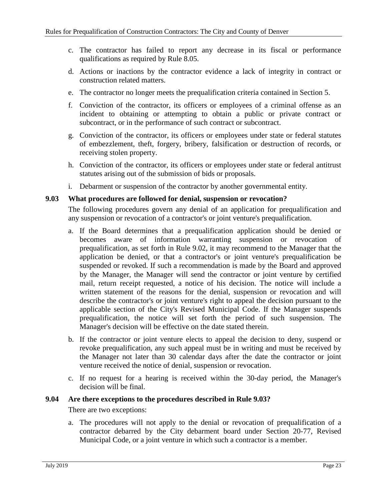- c. The contractor has failed to report any decrease in its fiscal or performance qualifications as required by Rule 8.05.
- d. Actions or inactions by the contractor evidence a lack of integrity in contract or construction related matters.
- e. The contractor no longer meets the prequalification criteria contained in Section 5.
- f. Conviction of the contractor, its officers or employees of a criminal offense as an incident to obtaining or attempting to obtain a public or private contract or subcontract, or in the performance of such contract or subcontract.
- g. Conviction of the contractor, its officers or employees under state or federal statutes of embezzlement, theft, forgery, bribery, falsification or destruction of records, or receiving stolen property.
- h. Conviction of the contractor, its officers or employees under state or federal antitrust statutes arising out of the submission of bids or proposals.
- i. Debarment or suspension of the contractor by another governmental entity.

#### <span id="page-26-0"></span>**9.03 What procedures are followed for denial, suspension or revocation?**

The following procedures govern any denial of an application for prequalification and any suspension or revocation of a contractor's or joint venture's prequalification.

- a. If the Board determines that a prequalification application should be denied or becomes aware of information warranting suspension or revocation of prequalification, as set forth in Rule 9.02, it may recommend to the Manager that the application be denied, or that a contractor's or joint venture's prequalification be suspended or revoked. If such a recommendation is made by the Board and approved by the Manager, the Manager will send the contractor or joint venture by certified mail, return receipt requested, a notice of his decision. The notice will include a written statement of the reasons for the denial, suspension or revocation and will describe the contractor's or joint venture's right to appeal the decision pursuant to the applicable section of the City's Revised Municipal Code. If the Manager suspends prequalification, the notice will set forth the period of such suspension. The Manager's decision will be effective on the date stated therein.
- b. If the contractor or joint venture elects to appeal the decision to deny, suspend or revoke prequalification, any such appeal must be in writing and must be received by the Manager not later than 30 calendar days after the date the contractor or joint venture received the notice of denial, suspension or revocation.
- c. If no request for a hearing is received within the 30-day period, the Manager's decision will be final.

## <span id="page-26-1"></span>**9.04 Are there exceptions to the procedures described in Rule 9.03?**

There are two exceptions:

a. The procedures will not apply to the denial or revocation of prequalification of a contractor debarred by the City debarment board under Section 20-77, Revised Municipal Code, or a joint venture in which such a contractor is a member.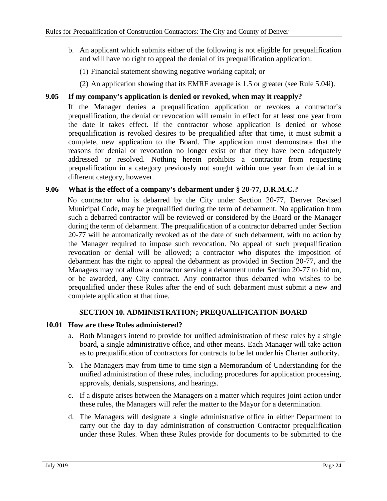- b. An applicant which submits either of the following is not eligible for prequalification and will have no right to appeal the denial of its prequalification application:
	- (1) Financial statement showing negative working capital; or
	- (2) An application showing that its EMRF average is 1.5 or greater (see Rule 5.04i).

## <span id="page-27-0"></span>**9.05 If my company's application is denied or revoked, when may it reapply?**

If the Manager denies a prequalification application or revokes a contractor's prequalification, the denial or revocation will remain in effect for at least one year from the date it takes effect. If the contractor whose application is denied or whose prequalification is revoked desires to be prequalified after that time, it must submit a complete, new application to the Board. The application must demonstrate that the reasons for denial or revocation no longer exist or that they have been adequately addressed or resolved. Nothing herein prohibits a contractor from requesting prequalification in a category previously not sought within one year from denial in a different category, however.

## <span id="page-27-1"></span>**9.06 What is the effect of a company's debarment under § 20-77, D.R.M.C.?**

No contractor who is debarred by the City under Section 20-77, Denver Revised Municipal Code, may be prequalified during the term of debarment. No application from such a debarred contractor will be reviewed or considered by the Board or the Manager during the term of debarment. The prequalification of a contractor debarred under Section 20-77 will be automatically revoked as of the date of such debarment, with no action by the Manager required to impose such revocation. No appeal of such prequalification revocation or denial will be allowed; a contractor who disputes the imposition of debarment has the right to appeal the debarment as provided in Section 20-77, and the Managers may not allow a contractor serving a debarment under Section 20-77 to bid on, or be awarded, any City contract. Any contractor thus debarred who wishes to be prequalified under these Rules after the end of such debarment must submit a new and complete application at that time.

## **SECTION 10. ADMINISTRATION; PREQUALIFICATION BOARD**

#### <span id="page-27-3"></span><span id="page-27-2"></span>**10.01 How are these Rules administered?**

- a. Both Managers intend to provide for unified administration of these rules by a single board, a single administrative office, and other means. Each Manager will take action as to prequalification of contractors for contracts to be let under his Charter authority.
- b. The Managers may from time to time sign a Memorandum of Understanding for the unified administration of these rules, including procedures for application processing, approvals, denials, suspensions, and hearings.
- c. If a dispute arises between the Managers on a matter which requires joint action under these rules, the Managers will refer the matter to the Mayor for a determination.
- d. The Managers will designate a single administrative office in either Department to carry out the day to day administration of construction Contractor prequalification under these Rules. When these Rules provide for documents to be submitted to the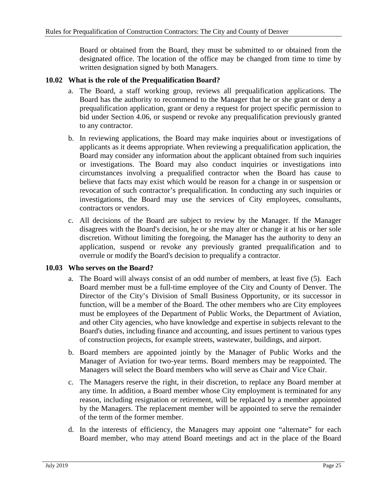Board or obtained from the Board, they must be submitted to or obtained from the designated office. The location of the office may be changed from time to time by written designation signed by both Managers.

## <span id="page-28-0"></span>**10.02 What is the role of the Prequalification Board?**

- a. The Board, a staff working group, reviews all prequalification applications. The Board has the authority to recommend to the Manager that he or she grant or deny a prequalification application, grant or deny a request for project specific permission to bid under Section 4.06, or suspend or revoke any prequalification previously granted to any contractor.
- b. In reviewing applications, the Board may make inquiries about or investigations of applicants as it deems appropriate. When reviewing a prequalification application, the Board may consider any information about the applicant obtained from such inquiries or investigations. The Board may also conduct inquiries or investigations into circumstances involving a prequalified contractor when the Board has cause to believe that facts may exist which would be reason for a change in or suspension or revocation of such contractor's prequalification. In conducting any such inquiries or investigations, the Board may use the services of City employees, consultants, contractors or vendors.
- c. All decisions of the Board are subject to review by the Manager. If the Manager disagrees with the Board's decision, he or she may alter or change it at his or her sole discretion. Without limiting the foregoing, the Manager has the authority to deny an application, suspend or revoke any previously granted prequalification and to overrule or modify the Board's decision to prequalify a contractor.

## <span id="page-28-1"></span>**10.03 Who serves on the Board?**

- a. The Board will always consist of an odd number of members, at least five (5). Each Board member must be a full-time employee of the City and County of Denver. The Director of the City's Division of Small Business Opportunity, or its successor in function, will be a member of the Board. The other members who are City employees must be employees of the Department of Public Works, the Department of Aviation, and other City agencies, who have knowledge and expertise in subjects relevant to the Board's duties, including finance and accounting, and issues pertinent to various types of construction projects, for example streets, wastewater, buildings, and airport.
- b. Board members are appointed jointly by the Manager of Public Works and the Manager of Aviation for two-year terms. Board members may be reappointed. The Managers will select the Board members who will serve as Chair and Vice Chair.
- c. The Managers reserve the right, in their discretion, to replace any Board member at any time. In addition, a Board member whose City employment is terminated for any reason, including resignation or retirement, will be replaced by a member appointed by the Managers. The replacement member will be appointed to serve the remainder of the term of the former member.
- d. In the interests of efficiency, the Managers may appoint one "alternate" for each Board member, who may attend Board meetings and act in the place of the Board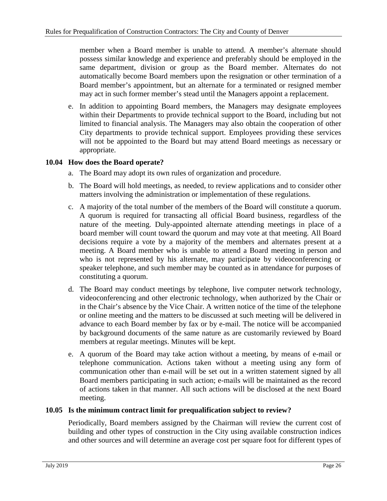member when a Board member is unable to attend. A member's alternate should possess similar knowledge and experience and preferably should be employed in the same department, division or group as the Board member. Alternates do not automatically become Board members upon the resignation or other termination of a Board member's appointment, but an alternate for a terminated or resigned member may act in such former member's stead until the Managers appoint a replacement.

e. In addition to appointing Board members, the Managers may designate employees within their Departments to provide technical support to the Board, including but not limited to financial analysis. The Managers may also obtain the cooperation of other City departments to provide technical support. Employees providing these services will not be appointed to the Board but may attend Board meetings as necessary or appropriate.

## <span id="page-29-0"></span>**10.04 How does the Board operate?**

- a. The Board may adopt its own rules of organization and procedure.
- b. The Board will hold meetings, as needed, to review applications and to consider other matters involving the administration or implementation of these regulations.
- c. A majority of the total number of the members of the Board will constitute a quorum. A quorum is required for transacting all official Board business, regardless of the nature of the meeting. Duly-appointed alternate attending meetings in place of a board member will count toward the quorum and may vote at that meeting. All Board decisions require a vote by a majority of the members and alternates present at a meeting. A Board member who is unable to attend a Board meeting in person and who is not represented by his alternate, may participate by videoconferencing or speaker telephone, and such member may be counted as in attendance for purposes of constituting a quorum.
- d. The Board may conduct meetings by telephone, live computer network technology, videoconferencing and other electronic technology, when authorized by the Chair or in the Chair's absence by the Vice Chair. A written notice of the time of the telephone or online meeting and the matters to be discussed at such meeting will be delivered in advance to each Board member by fax or by e-mail. The notice will be accompanied by background documents of the same nature as are customarily reviewed by Board members at regular meetings. Minutes will be kept.
- e. A quorum of the Board may take action without a meeting, by means of e-mail or telephone communication. Actions taken without a meeting using any form of communication other than e-mail will be set out in a written statement signed by all Board members participating in such action; e-mails will be maintained as the record of actions taken in that manner. All such actions will be disclosed at the next Board meeting.

## <span id="page-29-1"></span>**10.05 Is the minimum contract limit for prequalification subject to review?**

Periodically, Board members assigned by the Chairman will review the current cost of building and other types of construction in the City using available construction indices and other sources and will determine an average cost per square foot for different types of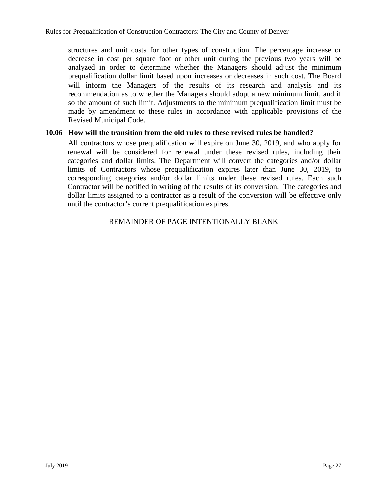structures and unit costs for other types of construction. The percentage increase or decrease in cost per square foot or other unit during the previous two years will be analyzed in order to determine whether the Managers should adjust the minimum prequalification dollar limit based upon increases or decreases in such cost. The Board will inform the Managers of the results of its research and analysis and its recommendation as to whether the Managers should adopt a new minimum limit, and if so the amount of such limit. Adjustments to the minimum prequalification limit must be made by amendment to these rules in accordance with applicable provisions of the Revised Municipal Code.

## <span id="page-30-0"></span>**10.06 How will the transition from the old rules to these revised rules be handled?**

All contractors whose prequalification will expire on June 30, 2019, and who apply for renewal will be considered for renewal under these revised rules, including their categories and dollar limits. The Department will convert the categories and/or dollar limits of Contractors whose prequalification expires later than June 30, 2019, to corresponding categories and/or dollar limits under these revised rules. Each such Contractor will be notified in writing of the results of its conversion. The categories and dollar limits assigned to a contractor as a result of the conversion will be effective only until the contractor's current prequalification expires.

#### REMAINDER OF PAGE INTENTIONALLY BLANK